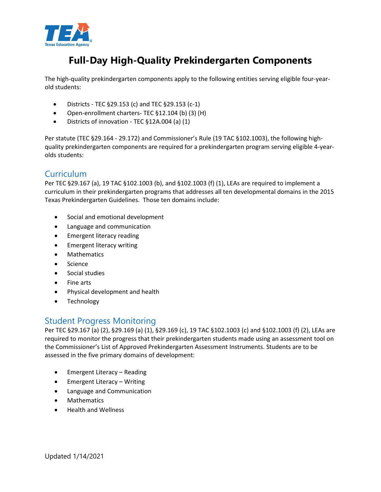

# **Full-Day High-Quality Prekindergarten Components**

The high-quality prekindergarten components apply to the following entities serving eligible four-yearold students:

- Districts TEC §29.153 (c) and TEC §29.153 (c-1)
- Open-enrollment charters- TEC §12.104 (b) (3) (H)
- Districts of innovation TEC §12A.004 (a) (1)

Per statute (TEC §29.164 - 29.172) and Commissioner's Rule (19 TAC §102.1003), the following highquality prekindergarten components are required for a prekindergarten program serving eligible 4-yearolds students:

#### **Curriculum**

 curriculum in their prekindergarten programs that addresses all ten developmental domains in the 2015 Per TEC §29.167 (a), 19 TAC §102.1003 (b), and §102.1003 (f) (1), LEAs are required to implement a Texas Prekindergarten Guidelines. Those ten domains include:

- Social and emotional development
- Language and communication
- Emergent literacy reading
- Emergent literacy writing
- Mathematics
- **Science**
- Social studies
- Fine arts
- Physical development and health
- **Technology**

## Student Progress Monitoring

 the Commissioner's List of Approved Prekindergarten Assessment Instruments. Students are to be Per TEC §29.167 (a) (2), §29.169 (a) (1), §29.169 (c), 19 TAC §102.1003 (c) and §102.1003 (f) (2), LEAs are required to monitor the progress that their prekindergarten students made using an assessment tool on assessed in the five primary domains of development:

- Emergent Literacy Reading
- Emergent Literacy Writing
- Language and Communication
- **Mathematics**
- Health and Wellness